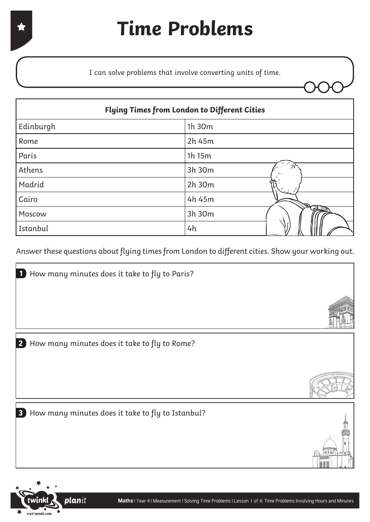I can solve problems that involve converting units of time.

| <b>Flying Times from London to Different Cities</b> |             |  |  |  |
|-----------------------------------------------------|-------------|--|--|--|
| Edinburgh                                           | 1h 30m      |  |  |  |
| Rome                                                | 2h 45m      |  |  |  |
| Paris                                               | 1h 15m      |  |  |  |
| Athens                                              | 3h 30m      |  |  |  |
| Madrid                                              | 2h 30m      |  |  |  |
| Cairo                                               | 4h 45m      |  |  |  |
| Moscow                                              | E<br>3h 30m |  |  |  |
| Istanbul                                            | 4h          |  |  |  |

Answer these questions about flying times from London to different cities. Show your working out.

How many minutes does it take to fly to Rome? **2**

How many minutes does it take to fly to Paris? **1**

How many minutes does it take to fly to Istanbul? **3**



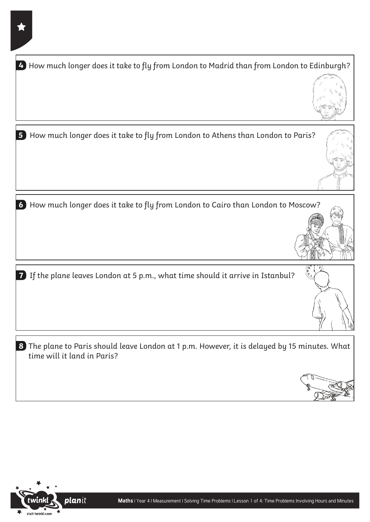| 4 How much longer does it take to fly from London to Madrid than from London to Edinburgh?                                   |
|------------------------------------------------------------------------------------------------------------------------------|
| 5<br>How much longer does it take to fly from London to Athens than London to Paris?                                         |
| 6 How much longer does it take to fly from London to Cairo than London to Moscow?                                            |
| 7 If the plane leaves London at 5 p.m., what time should it arrive in Istanbul?                                              |
| 8 The plane to Paris should leave London at 1 p.m. However, it is delayed by 15 minutes. What<br>time will it land in Paris? |
|                                                                                                                              |

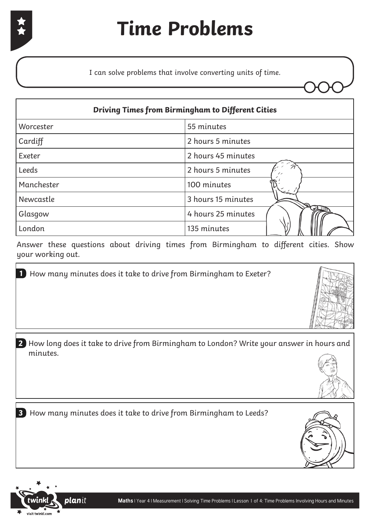I can solve problems that involve converting units of time.

| <b>Driving Times from Birmingham to Different Cities</b> |                    |  |  |  |
|----------------------------------------------------------|--------------------|--|--|--|
| Worcester                                                | 55 minutes         |  |  |  |
| Cardiff                                                  | 2 hours 5 minutes  |  |  |  |
| Exeter                                                   | 2 hours 45 minutes |  |  |  |
| Leeds                                                    | 2 hours 5 minutes  |  |  |  |
| Manchester                                               | 100 minutes        |  |  |  |
| Newcastle                                                | 3 hours 15 minutes |  |  |  |
| Glasgow                                                  | 4 hours 25 minutes |  |  |  |
| London                                                   | 135 minutes        |  |  |  |

Answer these questions about driving times from Birmingham to different cities. Show your working out.

How many minutes does it take to drive from Birmingham to Exeter? **1**





How many minutes does it take to drive from Birmingham to Leeds? **3**



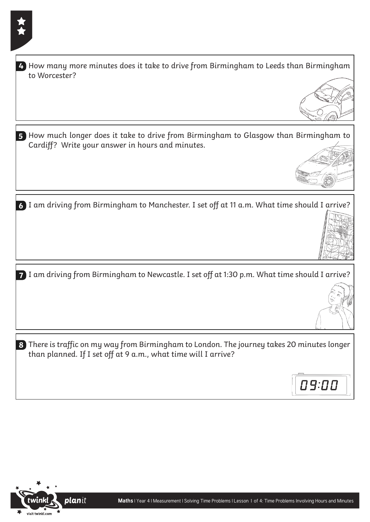| 4) How many more minutes does it take to drive from Birmingham to Leeds than Birmingham<br>to Worcester?                                                      |       |
|---------------------------------------------------------------------------------------------------------------------------------------------------------------|-------|
|                                                                                                                                                               |       |
| 5 How much longer does it take to drive from Birmingham to Glasgow than Birmingham to<br>Cardiff? Write your answer in hours and minutes.                     |       |
| 6 I am driving from Birmingham to Manchester. I set off at 11 a.m. What time should I arrive?                                                                 |       |
| 7 I am driving from Birmingham to Newcastle. I set off at 1:30 p.m. What time should I arrive?                                                                |       |
| 8 There is traffic on my way from Birmingham to London. The journey takes 20 minutes longer<br>than planned. If I set off at 9 a.m., what time will I arrive? | 09:00 |

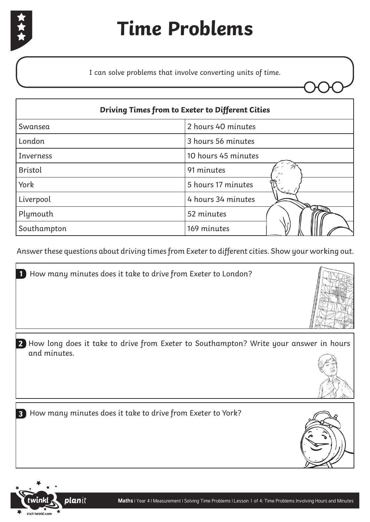

# **Time Problems**

I can solve problems that involve converting units of time.

| <b>Driving Times from to Exeter to Different Cities</b> |                     |  |  |  |
|---------------------------------------------------------|---------------------|--|--|--|
| Swansea                                                 | 2 hours 40 minutes  |  |  |  |
| London                                                  | 3 hours 56 minutes  |  |  |  |
| <b>Inverness</b>                                        | 10 hours 45 minutes |  |  |  |
| <b>Bristol</b>                                          | 91 minutes          |  |  |  |
| York                                                    | 5 hours 17 minutes  |  |  |  |
| Liverpool                                               | 4 hours 34 minutes  |  |  |  |
| Plymouth                                                | 52 minutes          |  |  |  |
| Southampton                                             | 169 minutes         |  |  |  |

Answer these questions about driving times from Exeter to different cities. Show your working out.

How many minutes does it take to drive from Exeter to London? **1**





How many minutes does it take to drive from Exeter to York? **3**



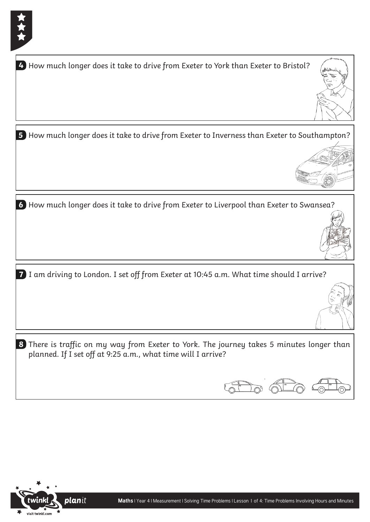| How much longer does it take to drive from Exeter to York than Exeter to Bristol?<br>4                                                                    |  |
|-----------------------------------------------------------------------------------------------------------------------------------------------------------|--|
|                                                                                                                                                           |  |
| 5 How much longer does it take to drive from Exeter to Inverness than Exeter to Southampton?                                                              |  |
|                                                                                                                                                           |  |
|                                                                                                                                                           |  |
| 6 How much longer does it take to drive from Exeter to Liverpool than Exeter to Swansea?                                                                  |  |
| I am driving to London. I set off from Exeter at 10:45 a.m. What time should I arrive?<br>7                                                               |  |
|                                                                                                                                                           |  |
| 8 There is traffic on my way from Exeter to York. The journey takes 5 minutes longer than<br>planned. If I set off at 9:25 a.m., what time will I arrive? |  |
|                                                                                                                                                           |  |

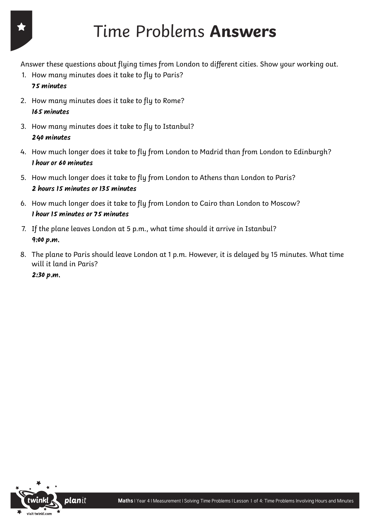# Time Problems **Answers**

Answer these questions about flying times from London to different cities. Show your working out.

- 1. How many minutes does it take to fly to Paris?
	- **75 minutes**
- 2. How many minutes does it take to fly to Rome? **165 minutes**
- 3. How many minutes does it take to fly to Istanbul? **240 minutes**
- 4. How much longer does it take to fly from London to Madrid than from London to Edinburgh? **1 hour or 60 minutes**
- 5. How much longer does it take to fly from London to Athens than London to Paris? **2 hours 15 minutes or 135 minutes**
- 6. How much longer does it take to fly from London to Cairo than London to Moscow? **1 hour 15 minutes or 75 minutes**
- 7. If the plane leaves London at 5 p.m., what time should it arrive in Istanbul? **9:00 p.m.**
- 8. The plane to Paris should leave London at 1 p.m. However, it is delayed by 15 minutes. What time will it land in Paris?

**2:30 p.m.**

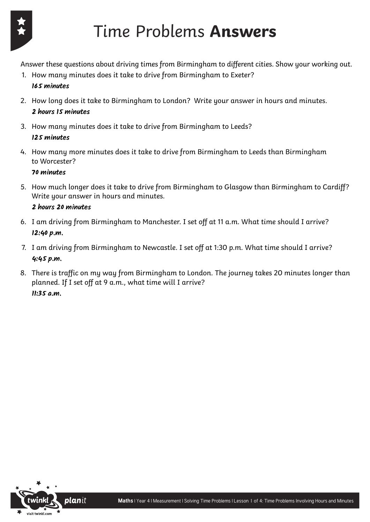

# Time Problems **Answers**

Answer these questions about driving times from Birmingham to different cities. Show your working out.

- 1. How many minutes does it take to drive from Birmingham to Exeter? **165 minutes**
- 2. How long does it take to Birmingham to London? Write your answer in hours and minutes. **2 hours 15 minutes**
- 3. How many minutes does it take to drive from Birmingham to Leeds? **125 minutes**
- 4. How many more minutes does it take to drive from Birmingham to Leeds than Birmingham to Worcester?

**70 minutes**

5. How much longer does it take to drive from Birmingham to Glasgow than Birmingham to Cardiff? Write your answer in hours and minutes.

#### **2 hours 20 minutes**

- 6. I am driving from Birmingham to Manchester. I set off at 11 a.m. What time should I arrive? **12:40 p.m.**
- 7. I am driving from Birmingham to Newcastle. I set off at 1:30 p.m. What time should I arrive? **4:45 p.m.**
- 8. There is traffic on my way from Birmingham to London. The journey takes 20 minutes longer than planned. If I set off at 9 a.m., what time will I arrive? **11:35 a.m.**